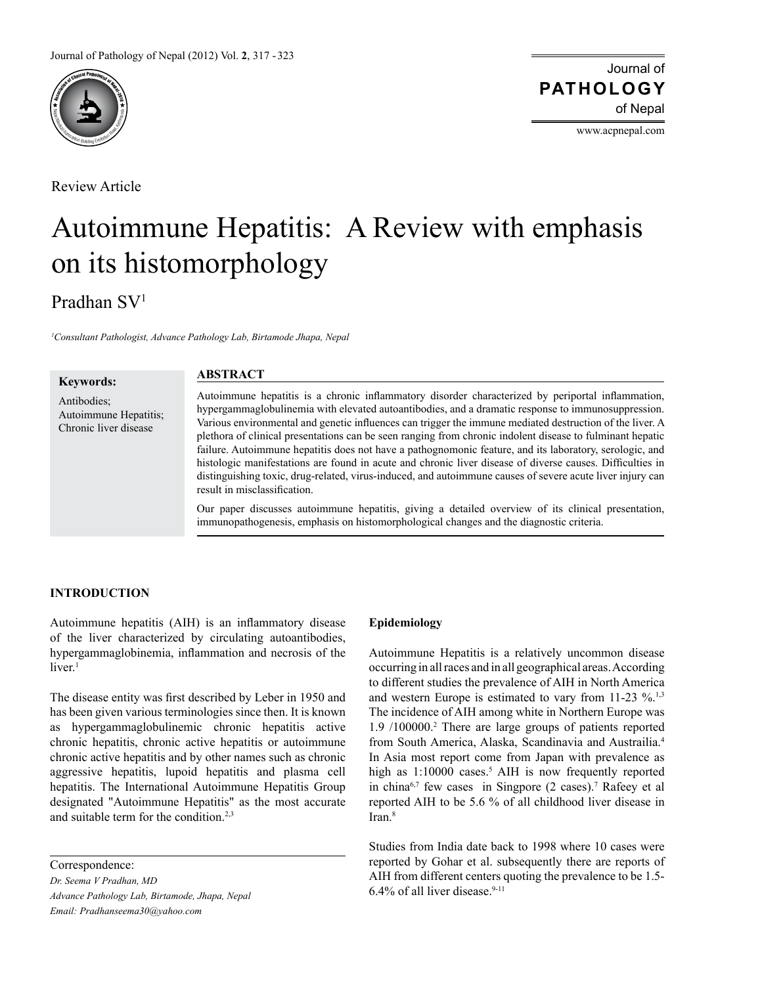

Review Article

Journal of of Nepal **PATHOLOGY**

www.acpnepal.com

# Autoimmune Hepatitis: A Review with emphasis on its histomorphology

Pradhan SV<sup>1</sup>

*1 Consultant Pathologist, Advance Pathology Lab, Birtamode Jhapa, Nepal*

**Keywords:** Antibodies; Autoimmune Hepatitis; Chronic liver disease

# **ABSTRACT**

Autoimmune hepatitis is a chronic inflammatory disorder characterized by periportal inflammation, hypergammaglobulinemia with elevated autoantibodies, and a dramatic response to immunosuppression. Various environmental and genetic influences can trigger the immune mediated destruction of the liver. A plethora of clinical presentations can be seen ranging from chronic indolent disease to fulminant hepatic failure. Autoimmune hepatitis does not have a pathognomonic feature, and its laboratory, serologic, and histologic manifestations are found in acute and chronic liver disease of diverse causes. Difficulties in distinguishing toxic, drug-related, virus-induced, and autoimmune causes of severe acute liver injury can result in misclassification.

Our paper discusses autoimmune hepatitis, giving a detailed overview of its clinical presentation, immunopathogenesis, emphasis on histomorphological changes and the diagnostic criteria.

# **INTRODUCTION**

Autoimmune hepatitis (AIH) is an inflammatory disease of the liver characterized by circulating autoantibodies, hypergammaglobinemia, inflammation and necrosis of the  $liver<sup>1</sup>$ 

The disease entity was first described by Leber in 1950 and has been given various terminologies since then. It is known as hypergammaglobulinemic chronic hepatitis active chronic hepatitis, chronic active hepatitis or autoimmune chronic active hepatitis and by other names such as chronic aggressive hepatitis, lupoid hepatitis and plasma cell hepatitis. The International Autoimmune Hepatitis Group designated "Autoimmune Hepatitis" as the most accurate and suitable term for the condition.<sup>2,3</sup>

Correspondence: *Dr. Seema V Pradhan, MD Advance Pathology Lab, Birtamode, Jhapa, Nepal Email: Pradhanseema30@yahoo.com*

## **Epidemiology**

Autoimmune Hepatitis is a relatively uncommon disease occurring in all races and in all geographical areas. According to different studies the prevalence of AIH in North America and western Europe is estimated to vary from 11-23  $\%$ .<sup>1,3</sup> The incidence of AIH among white in Northern Europe was 1.9 /100000.2 There are large groups of patients reported from South America, Alaska, Scandinavia and Austrailia.<sup>4</sup> In Asia most report come from Japan with prevalence as high as  $1:10000$  cases.<sup>5</sup> AIH is now frequently reported in china<sup>6,7</sup> few cases in Singpore (2 cases).<sup>7</sup> Rafeey et al reported AIH to be 5.6 % of all childhood liver disease in Iran.<sup>8</sup>

Studies from India date back to 1998 where 10 cases were reported by Gohar et al. subsequently there are reports of AIH from different centers quoting the prevalence to be 1.5- 6.4% of all liver disease.  $9-11$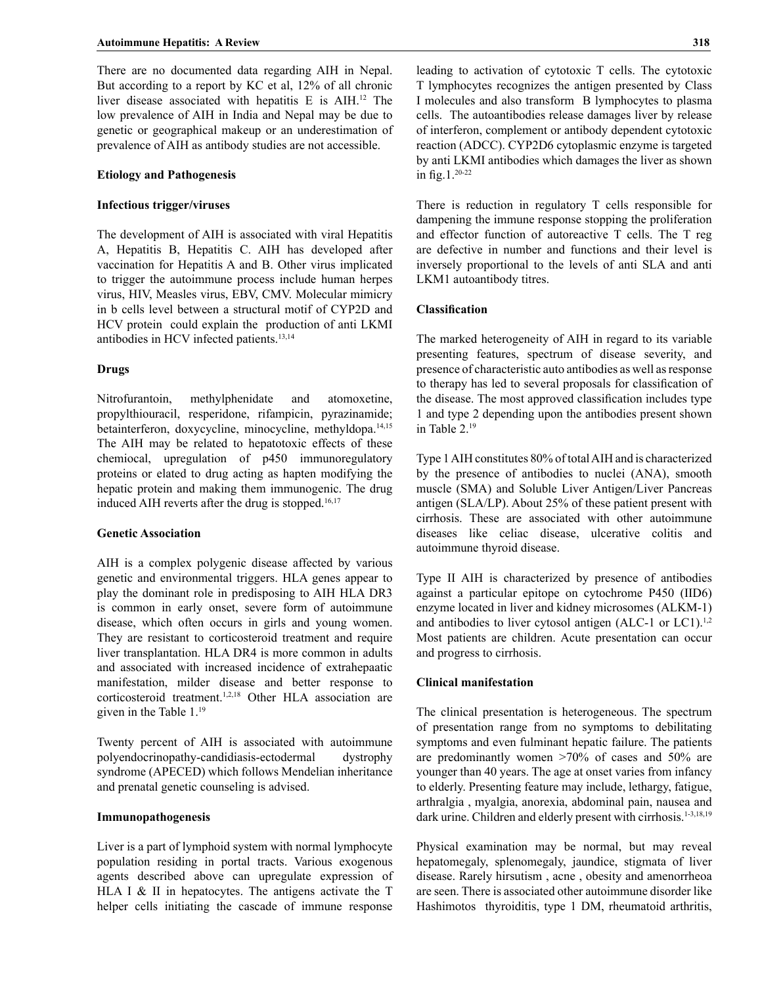There are no documented data regarding AIH in Nepal. But according to a report by KC et al, 12% of all chronic liver disease associated with hepatitis E is AIH.12 The low prevalence of AIH in India and Nepal may be due to genetic or geographical makeup or an underestimation of prevalence of AIH as antibody studies are not accessible.

## **Etiology and Pathogenesis**

#### **Infectious trigger/viruses**

The development of AIH is associated with viral Hepatitis A, Hepatitis B, Hepatitis C. AIH has developed after vaccination for Hepatitis A and B. Other virus implicated to trigger the autoimmune process include human herpes virus, HIV, Measles virus, EBV, CMV. Molecular mimicry in b cells level between a structural motif of CYP2D and HCV protein could explain the production of anti LKMI antibodies in HCV infected patients.13,14

#### **Drugs**

Nitrofurantoin, methylphenidate and atomoxetine, propylthiouracil, resperidone, rifampicin, pyrazinamide; betainterferon, doxycycline, minocycline, methyldopa.14,15 The AIH may be related to hepatotoxic effects of these chemiocal, upregulation of p450 immunoregulatory proteins or elated to drug acting as hapten modifying the hepatic protein and making them immunogenic. The drug induced AIH reverts after the drug is stopped.<sup>16,17</sup>

## **Genetic Association**

AIH is a complex polygenic disease affected by various genetic and environmental triggers. HLA genes appear to play the dominant role in predisposing to AIH HLA DR3 is common in early onset, severe form of autoimmune disease, which often occurs in girls and young women. They are resistant to corticosteroid treatment and require liver transplantation. HLA DR4 is more common in adults and associated with increased incidence of extrahepaatic manifestation, milder disease and better response to corticosteroid treatment.<sup>1,2,18</sup> Other HLA association are given in the Table 1.19

Twenty percent of AIH is associated with autoimmune polyendocrinopathy-candidiasis-ectodermal dystrophy syndrome (APECED) which follows Mendelian inheritance and prenatal genetic counseling is advised.

#### **Immunopathogenesis**

Liver is a part of lymphoid system with normal lymphocyte population residing in portal tracts. Various exogenous agents described above can upregulate expression of HLA I & II in hepatocytes. The antigens activate the T helper cells initiating the cascade of immune response

leading to activation of cytotoxic T cells. The cytotoxic T lymphocytes recognizes the antigen presented by Class I molecules and also transform B lymphocytes to plasma cells. The autoantibodies release damages liver by release of interferon, complement or antibody dependent cytotoxic reaction (ADCC). CYP2D6 cytoplasmic enzyme is targeted by anti LKMI antibodies which damages the liver as shown in fig.1.20-22

There is reduction in regulatory T cells responsible for dampening the immune response stopping the proliferation and effector function of autoreactive T cells. The T reg are defective in number and functions and their level is inversely proportional to the levels of anti SLA and anti LKM1 autoantibody titres.

## **Classification**

The marked heterogeneity of AIH in regard to its variable presenting features, spectrum of disease severity, and presence of characteristic auto antibodies as well as response to therapy has led to several proposals for classification of the disease. The most approved classification includes type 1 and type 2 depending upon the antibodies present shown in Table 2.19

Type 1 AIH constitutes 80% of total AIH and is characterized by the presence of antibodies to nuclei (ANA), smooth muscle (SMA) and Soluble Liver Antigen/Liver Pancreas antigen (SLA/LP). About 25% of these patient present with cirrhosis. These are associated with other autoimmune diseases like celiac disease, ulcerative colitis and autoimmune thyroid disease.

Type II AIH is characterized by presence of antibodies against a particular epitope on cytochrome P450 (IID6) enzyme located in liver and kidney microsomes (ALKM-1) and antibodies to liver cytosol antigen  $(ALC-1)$  or  $LC1$ ).<sup>1,2</sup> Most patients are children. Acute presentation can occur and progress to cirrhosis.

## **Clinical manifestation**

The clinical presentation is heterogeneous. The spectrum of presentation range from no symptoms to debilitating symptoms and even fulminant hepatic failure. The patients are predominantly women >70% of cases and 50% are younger than 40 years. The age at onset varies from infancy to elderly. Presenting feature may include, lethargy, fatigue, arthralgia , myalgia, anorexia, abdominal pain, nausea and dark urine. Children and elderly present with cirrhosis.<sup>1-3,18,19</sup>

Physical examination may be normal, but may reveal hepatomegaly, splenomegaly, jaundice, stigmata of liver disease. Rarely hirsutism , acne , obesity and amenorrheoa are seen. There is associated other autoimmune disorder like Hashimotos thyroiditis, type 1 DM, rheumatoid arthritis,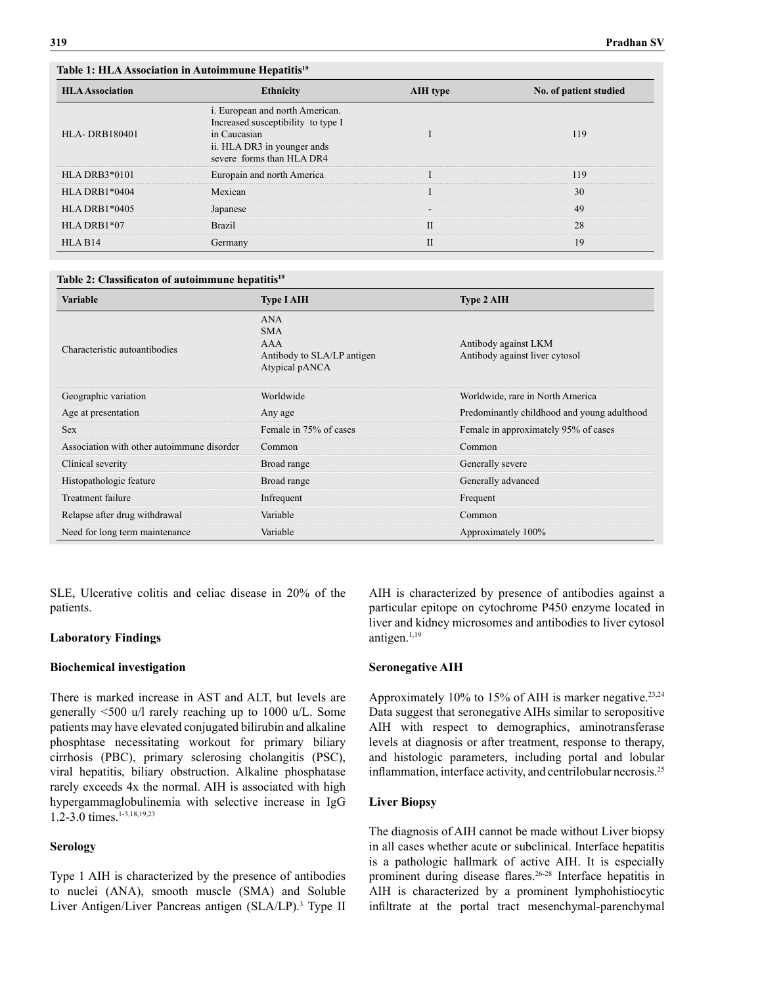**HLA Association** 

HLA- DRB180401

**Table 2: Classificaton of autoimmune hepatitis<sup>19</sup>**

| sociation in Automnique repatitis                                                                                                                 |          |                        |  |  |
|---------------------------------------------------------------------------------------------------------------------------------------------------|----------|------------------------|--|--|
| <b>Ethnicity</b>                                                                                                                                  | AIH type | No. of patient studied |  |  |
| i. European and north American.<br>Increased susceptibility to type I<br>in Caucasian<br>ii. HLA DR3 in younger ands<br>severe forms than HLA DR4 |          | 119                    |  |  |
|                                                                                                                                                   |          |                        |  |  |

| HLA DRB3*0101 | Europain and north America |    |
|---------------|----------------------------|----|
| HLA DRB1*0404 | Mexican                    |    |
| HLA DRB1*0405 | Japanese                   | 49 |
| HLA DRB1*07   | <b>Brazil</b>              | 28 |
| HLA B14       | Germanv                    |    |
|               |                            |    |

| <b>Variable</b>                            | <b>Type I AIH</b>                                                               | <b>Type 2 AIH</b>                                      |
|--------------------------------------------|---------------------------------------------------------------------------------|--------------------------------------------------------|
| Characteristic autoantibodies              | <b>ANA</b><br><b>SMA</b><br>AAA<br>Antibody to SLA/LP antigen<br>Atypical pANCA | Antibody against LKM<br>Antibody against liver cytosol |
| Geographic variation                       | Worldwide                                                                       | Worldwide, rare in North America                       |
| Age at presentation                        | Any age                                                                         | Predominantly childhood and young adulthood            |
| <b>Sex</b>                                 | Female in 75% of cases                                                          | Female in approximately 95% of cases                   |
| Association with other autoimmune disorder | Common                                                                          | Common                                                 |
| Clinical severity                          | Broad range                                                                     | Generally severe                                       |
| Histopathologic feature                    | Broad range                                                                     | Generally advanced                                     |
| Treatment failure                          | Infrequent                                                                      | Frequent                                               |
| Relapse after drug withdrawal              | Variable                                                                        | Common                                                 |
| Need for long term maintenance             | Variable                                                                        | Approximately 100%                                     |

SLE, Ulcerative colitis and celiac disease in 20% of the patients.

## **Laboratory Findings**

## **Biochemical investigation**

There is marked increase in AST and ALT, but levels are generally <500 u/l rarely reaching up to 1000 u/L. Some patients may have elevated conjugated bilirubin and alkaline phosphtase necessitating workout for primary biliary cirrhosis (PBC), primary sclerosing cholangitis (PSC), viral hepatitis, biliary obstruction. Alkaline phosphatase rarely exceeds 4x the normal. AIH is associated with high hypergammaglobulinemia with selective increase in IgG 1.2-3.0 times.1-3,18,19,23

# **Serology**

Type 1 AIH is characterized by the presence of antibodies to nuclei (ANA), smooth muscle (SMA) and Soluble Liver Antigen/Liver Pancreas antigen (SLA/LP).<sup>3</sup> Type II AIH is characterized by presence of antibodies against a particular epitope on cytochrome P450 enzyme located in liver and kidney microsomes and antibodies to liver cytosol antigen.<sup>1,19</sup>

## **Seronegative AIH**

Approximately 10% to 15% of AIH is marker negative.<sup>23,24</sup> Data suggest that seronegative AIHs similar to seropositive AIH with respect to demographics, aminotransferase levels at diagnosis or after treatment, response to therapy, and histologic parameters, including portal and lobular inflammation, interface activity, and centrilobular necrosis.<sup>25</sup>

## **Liver Biopsy**

The diagnosis of AIH cannot be made without Liver biopsy in all cases whether acute or subclinical. Interface hepatitis is a pathologic hallmark of active AIH. It is especially prominent during disease flares.<sup>26-28</sup> Interface hepatitis in AIH is characterized by a prominent lymphohistiocytic infiltrate at the portal tract mesenchymal-parenchymal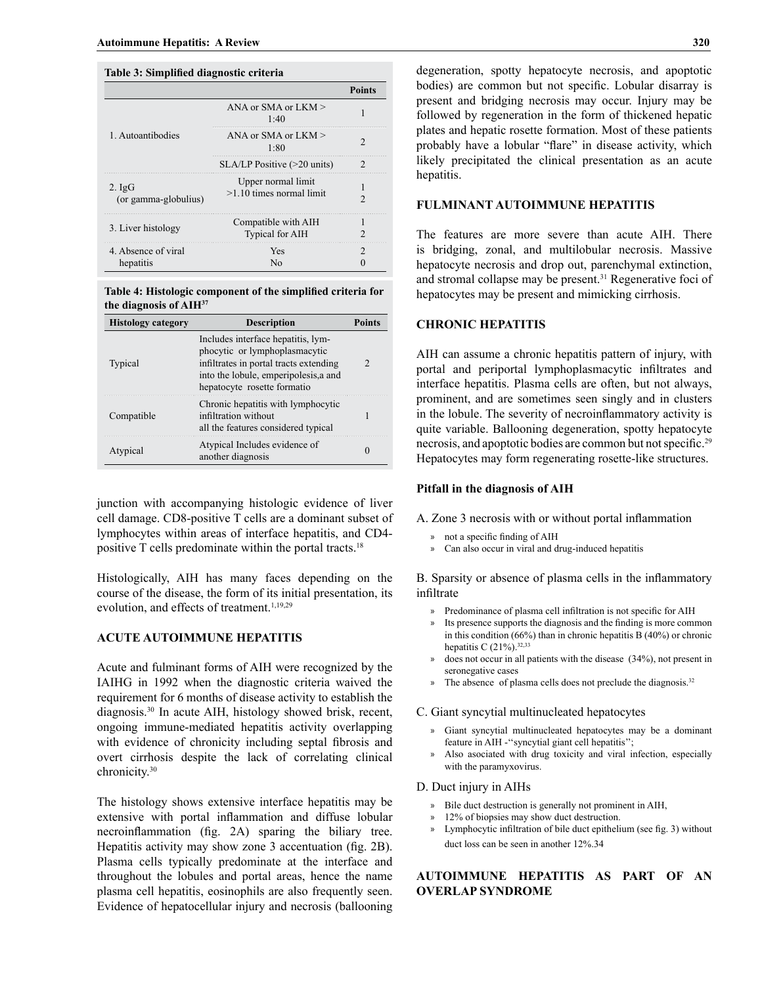|                                  |                                                  | <b>Points</b> |
|----------------------------------|--------------------------------------------------|---------------|
|                                  | ANA or SMA or $LKM >$<br>1.40                    |               |
| 1. Autoantibodies                | ANA or SMA or $LKM >$<br>1.80                    |               |
|                                  | $SLA/LP$ Positive ( $>20$ units)                 |               |
| $2.$ IgG<br>(or gamma-globulius) | Upper normal limit<br>$>1.10$ times normal limit |               |
| 3. Liver histology               | Compatible with AIH<br><b>Typical for AIH</b>    |               |
| 4. Absence of viral              | Yes                                              |               |
| hepatitis                        |                                                  |               |

**Table 4: Histologic component of the simplified criteria for the diagnosis of AIH37**

| <b>Histology category</b> | <b>Description</b>                                                                                                                                                                    |  |
|---------------------------|---------------------------------------------------------------------------------------------------------------------------------------------------------------------------------------|--|
| Typical                   | Includes interface hepatitis, lym-<br>phocytic or lymphoplasmacytic<br>infiltrates in portal tracts extending<br>into the lobule, emperipolesis, a and<br>hepatocyte rosette formatio |  |
| Compatible                | Chronic hepatitis with lymphocytic<br>infiltration without<br>all the features considered typical                                                                                     |  |
|                           | Atypical Includes evidence of<br>another diagnosis                                                                                                                                    |  |

junction with accompanying histologic evidence of liver cell damage. CD8-positive T cells are a dominant subset of lymphocytes within areas of interface hepatitis, and CD4 positive T cells predominate within the portal tracts.18

Histologically, AIH has many faces depending on the course of the disease, the form of its initial presentation, its evolution, and effects of treatment.<sup>1,19,29</sup>

## **ACUTE AUTOIMMUNE HEPATITIS**

Acute and fulminant forms of AIH were recognized by the IAIHG in 1992 when the diagnostic criteria waived the requirement for 6 months of disease activity to establish the diagnosis.30 In acute AIH, histology showed brisk, recent, ongoing immune-mediated hepatitis activity overlapping with evidence of chronicity including septal fibrosis and overt cirrhosis despite the lack of correlating clinical chronicity.30

The histology shows extensive interface hepatitis may be extensive with portal inflammation and diffuse lobular necroinflammation (fig. 2A) sparing the biliary tree. Hepatitis activity may show zone 3 accentuation (fig. 2B). Plasma cells typically predominate at the interface and throughout the lobules and portal areas, hence the name plasma cell hepatitis, eosinophils are also frequently seen. Evidence of hepatocellular injury and necrosis (ballooning degeneration, spotty hepatocyte necrosis, and apoptotic bodies) are common but not specific. Lobular disarray is present and bridging necrosis may occur. Injury may be followed by regeneration in the form of thickened hepatic plates and hepatic rosette formation. Most of these patients probably have a lobular "flare" in disease activity, which likely precipitated the clinical presentation as an acute hepatitis.

# **FULMINANT AUTOIMMUNE HEPATITIS**

The features are more severe than acute AIH. There is bridging, zonal, and multilobular necrosis. Massive hepatocyte necrosis and drop out, parenchymal extinction, and stromal collapse may be present.<sup>31</sup> Regenerative foci of hepatocytes may be present and mimicking cirrhosis.

## **CHRONIC HEPATITIS**

AIH can assume a chronic hepatitis pattern of injury, with portal and periportal lymphoplasmacytic infiltrates and interface hepatitis. Plasma cells are often, but not always, prominent, and are sometimes seen singly and in clusters in the lobule. The severity of necroinflammatory activity is quite variable. Ballooning degeneration, spotty hepatocyte necrosis, and apoptotic bodies are common but not specific.<sup>29</sup> Hepatocytes may form regenerating rosette-like structures.

#### **Pitfall in the diagnosis of AIH**

A. Zone 3 necrosis with or without portal inflammation

- » not a specific finding of AIH
- » Can also occur in viral and drug-induced hepatitis

B. Sparsity or absence of plasma cells in the inflammatory infiltrate

- » Predominance of plasma cell infiltration is not specific for AIH
- Its presence supports the diagnosis and the finding is more common in this condition (66%) than in chronic hepatitis B (40%) or chronic hepatitis C  $(21\%)$ . 32,33
- » does not occur in all patients with the disease (34%), not present in seronegative cases
- The absence of plasma cells does not preclude the diagnosis.<sup>32</sup>

#### C. Giant syncytial multinucleated hepatocytes

- » Giant syncytial multinucleated hepatocytes may be a dominant feature in AIH -''syncytial giant cell hepatitis'';
- Also asociated with drug toxicity and viral infection, especially with the paramyxovirus.

#### D. Duct injury in AIHs

- » Bile duct destruction is generally not prominent in AIH,
- 12% of biopsies may show duct destruction.
- » Lymphocytic infiltration of bile duct epithelium (see fig. 3) without duct loss can be seen in another 12%.34

# **AUTOIMMUNE HEPATITIS AS PART OF AN OVERLAP SYNDROME**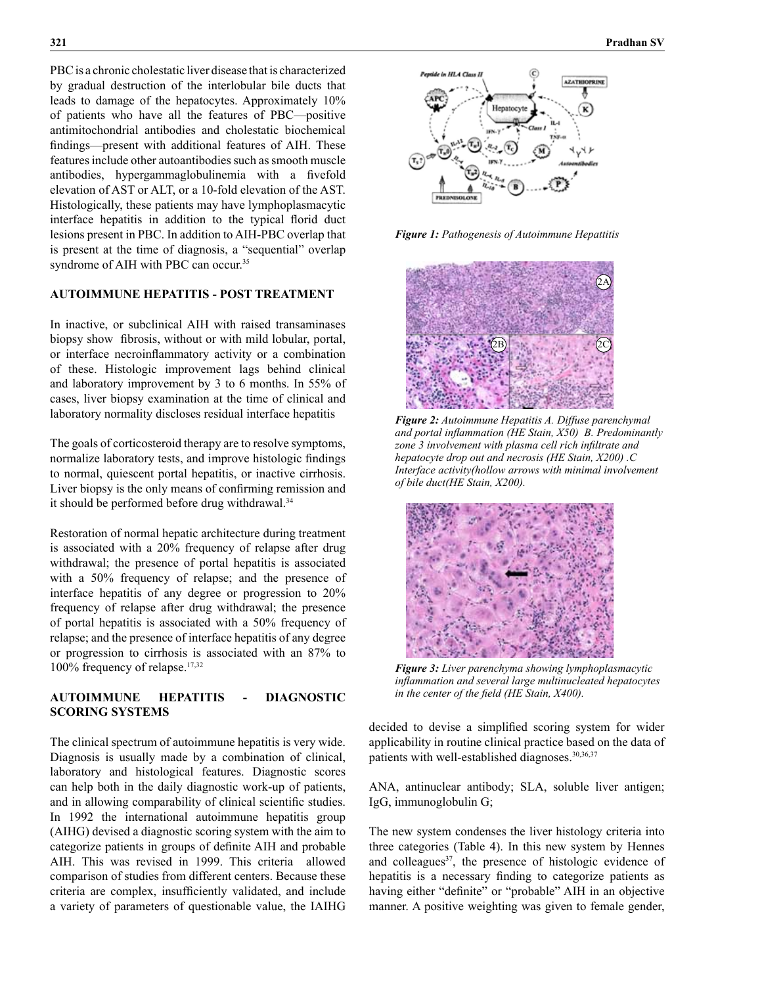PBC is a chronic cholestatic liver disease that is characterized by gradual destruction of the interlobular bile ducts that leads to damage of the hepatocytes. Approximately 10% of patients who have all the features of PBC—positive antimitochondrial antibodies and cholestatic biochemical findings—present with additional features of AIH. These features include other autoantibodies such as smooth muscle antibodies, hypergammaglobulinemia with a fivefold elevation of AST or ALT, or a 10-fold elevation of the AST. Histologically, these patients may have lymphoplasmacytic interface hepatitis in addition to the typical florid duct lesions present in PBC. In addition to AIH-PBC overlap that is present at the time of diagnosis, a "sequential" overlap syndrome of AIH with PBC can occur.<sup>35</sup>

# **AUTOIMMUNE HEPATITIS - POST TREATMENT**

In inactive, or subclinical AIH with raised transaminases biopsy show fibrosis, without or with mild lobular, portal, or interface necroinflammatory activity or a combination of these. Histologic improvement lags behind clinical and laboratory improvement by 3 to 6 months. In 55% of cases, liver biopsy examination at the time of clinical and laboratory normality discloses residual interface hepatitis

The goals of corticosteroid therapy are to resolve symptoms, normalize laboratory tests, and improve histologic findings to normal, quiescent portal hepatitis, or inactive cirrhosis. Liver biopsy is the only means of confirming remission and it should be performed before drug withdrawal.<sup>34</sup>

Restoration of normal hepatic architecture during treatment is associated with a 20% frequency of relapse after drug withdrawal; the presence of portal hepatitis is associated with a 50% frequency of relapse; and the presence of interface hepatitis of any degree or progression to 20% frequency of relapse after drug withdrawal; the presence of portal hepatitis is associated with a 50% frequency of relapse; and the presence of interface hepatitis of any degree or progression to cirrhosis is associated with an 87% to 100% frequency of relapse.17,32

# **AUTOIMMUNE HEPATITIS - DIAGNOSTIC SCORING SYSTEMS**

The clinical spectrum of autoimmune hepatitis is very wide. Diagnosis is usually made by a combination of clinical, laboratory and histological features. Diagnostic scores can help both in the daily diagnostic work-up of patients, and in allowing comparability of clinical scientific studies. In 1992 the international autoimmune hepatitis group (AIHG) devised a diagnostic scoring system with the aim to categorize patients in groups of definite AIH and probable AIH. This was revised in 1999. This criteria allowed comparison of studies from different centers. Because these criteria are complex, insufficiently validated, and include a variety of parameters of questionable value, the IAIHG



*Figure 1: Pathogenesis of Autoimmune Hepattitis*



*Figure 2: Autoimmune Hepatitis A. Diffuse parenchymal and portal inflammation (HE Stain, X50) B. Predominantly zone 3 involvement with plasma cell rich infiltrate and hepatocyte drop out and necrosis (HE Stain, X200) .C Interface activity(hollow arrows with minimal involvement of bile duct(HE Stain, X200).*



*Figure 3: Liver parenchyma showing lymphoplasmacytic inflammation and several large multinucleated hepatocytes in the center of the field (HE Stain, X400).* 

decided to devise a simplified scoring system for wider applicability in routine clinical practice based on the data of patients with well-established diagnoses.<sup>30,36,37</sup>

ANA, antinuclear antibody; SLA, soluble liver antigen; IgG, immunoglobulin G;

The new system condenses the liver histology criteria into three categories (Table 4). In this new system by Hennes and colleagues<sup>37</sup>, the presence of histologic evidence of hepatitis is a necessary finding to categorize patients as having either "definite" or "probable" AIH in an objective manner. A positive weighting was given to female gender,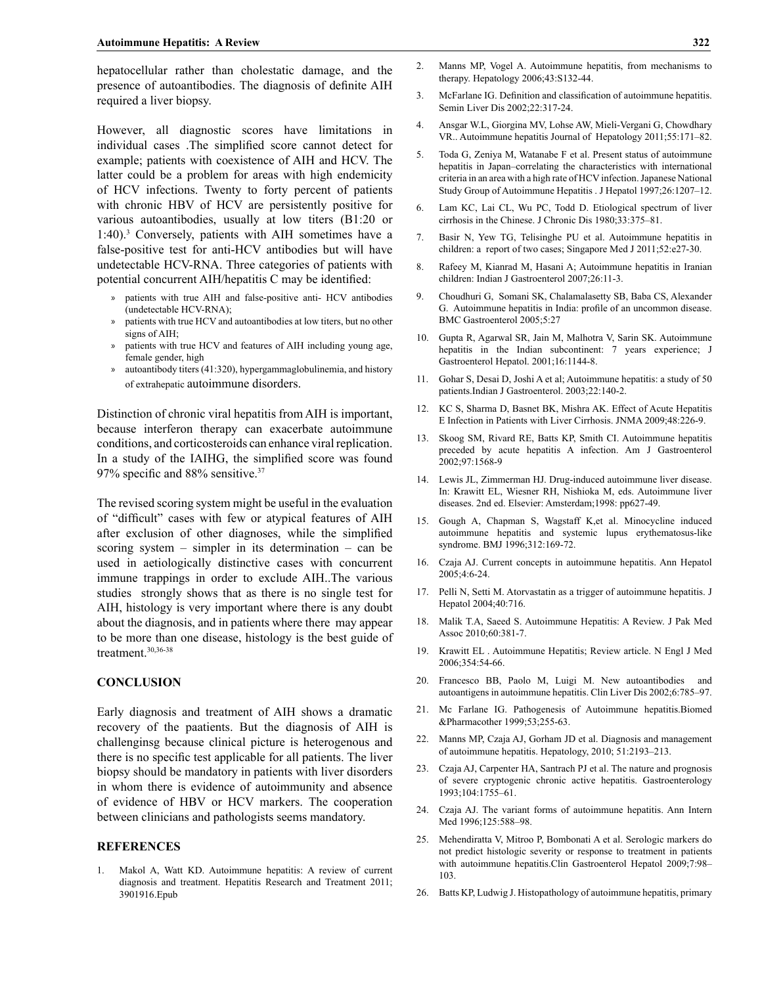hepatocellular rather than cholestatic damage, and the presence of autoantibodies. The diagnosis of definite AIH required a liver biopsy.

However, all diagnostic scores have limitations in individual cases .The simplified score cannot detect for example; patients with coexistence of AIH and HCV. The latter could be a problem for areas with high endemicity of HCV infections. Twenty to forty percent of patients with chronic HBV of HCV are persistently positive for various autoantibodies, usually at low titers (B1:20 or 1:40).3 Conversely, patients with AIH sometimes have a false-positive test for anti-HCV antibodies but will have undetectable HCV-RNA. Three categories of patients with potential concurrent AIH/hepatitis C may be identified:

- » patients with true AIH and false-positive anti- HCV antibodies (undetectable HCV-RNA);
- » patients with true HCV and autoantibodies at low titers, but no other signs of AIH;
- » patients with true HCV and features of AIH including young age, female gender, high
- » autoantibody titers (41:320), hypergammaglobulinemia, and history of extrahepatic autoimmune disorders.

Distinction of chronic viral hepatitis from AIH is important, because interferon therapy can exacerbate autoimmune conditions, and corticosteroids can enhance viral replication. In a study of the IAIHG, the simplified score was found 97% specific and 88% sensitive.37

The revised scoring system might be useful in the evaluation of "difficult" cases with few or atypical features of AIH after exclusion of other diagnoses, while the simplified scoring system – simpler in its determination – can be used in aetiologically distinctive cases with concurrent immune trappings in order to exclude AIH..The various studies strongly shows that as there is no single test for AIH, histology is very important where there is any doubt about the diagnosis, and in patients where there may appear to be more than one disease, histology is the best guide of treatment.30,36-38

## **CONCLUSION**

Early diagnosis and treatment of AIH shows a dramatic recovery of the paatients. But the diagnosis of AIH is challenginsg because clinical picture is heterogenous and there is no specific test applicable for all patients. The liver biopsy should be mandatory in patients with liver disorders in whom there is evidence of autoimmunity and absence of evidence of HBV or HCV markers. The cooperation between clinicians and pathologists seems mandatory.

#### **REFERENCES**

1. Makol A, Watt KD. Autoimmune hepatitis: A review of current diagnosis and treatment. Hepatitis Research and Treatment 2011; 3901916.Epub

- 2. Manns MP, Vogel A. Autoimmune hepatitis, from mechanisms to therapy. Hepatology 2006;43:S132-44.
- 3. McFarlane IG. Definition and classification of autoimmune hepatitis. Semin Liver Dis 2002;22:317-24.
- 4. Ansgar W.L, Giorgina MV, Lohse AW, Mieli-Vergani G, Chowdhary VR.. Autoimmune hepatitis Journal of Hepatology 2011;55:171–82.
- 5. Toda G, Zeniya M, Watanabe F et al. Present status of autoimmune hepatitis in Japan–correlating the characteristics with international criteria in an area with a high rate of HCV infection. Japanese National Study Group of Autoimmune Hepatitis . J Hepatol 1997;26:1207–12.
- 6. Lam KC, Lai CL, Wu PC, Todd D. Etiological spectrum of liver cirrhosis in the Chinese. J Chronic Dis 1980;33:375–81.
- 7. Basir N, Yew TG, Telisinghe PU et al. Autoimmune hepatitis in children: a report of two cases; Singapore Med J 2011;52:e27-30.
- 8. Rafeey M, Kianrad M, Hasani A; Autoimmune hepatitis in Iranian children: Indian J Gastroenterol 2007;26:11-3.
- 9. Choudhuri G, Somani SK, Chalamalasetty SB, Baba CS, Alexander G. Autoimmune hepatitis in India: profile of an uncommon disease. BMC Gastroenterol 2005;5:27
- 10. Gupta R, Agarwal SR, Jain M, Malhotra V, Sarin SK. Autoimmune hepatitis in the Indian subcontinent: 7 years experience; J Gastroenterol Hepatol. 2001;16:1144-8.
- 11. Gohar S, Desai D, Joshi A et al; Autoimmune hepatitis: a study of 50 patients.Indian J Gastroenterol. 2003;22:140-2.
- 12. KC S, Sharma D, Basnet BK, Mishra AK. Effect of Acute Hepatitis E Infection in Patients with Liver Cirrhosis. JNMA 2009;48:226-9.
- 13. Skoog SM, Rivard RE, Batts KP, Smith CI. Autoimmune hepatitis preceded by acute hepatitis A infection. Am J Gastroenterol 2002;97:1568-9
- 14. Lewis JL, Zimmerman HJ. Drug-induced autoimmune liver disease. In: Krawitt EL, Wiesner RH, Nishioka M, eds. Autoimmune liver diseases. 2nd ed. Elsevier: Amsterdam;1998: pp627-49.
- 15. Gough A, Chapman S, Wagstaff K,et al. Minocycline induced autoimmune hepatitis and systemic lupus erythematosus-like syndrome. BMJ 1996;312:169-72.
- 16. Czaja AJ. Current concepts in autoimmune hepatitis. Ann Hepatol 2005;4:6-24.
- 17. Pelli N, Setti M. Atorvastatin as a trigger of autoimmune hepatitis. J Hepatol 2004;40:716.
- 18. Malik T.A, Saeed S. Autoimmune Hepatitis: A Review. J Pak Med Assoc 2010;60:381-7.
- 19. Krawitt EL . Autoimmune Hepatitis; Review article. N Engl J Med 2006;354:54-66.
- 20. Francesco BB, Paolo M, Luigi M. New autoantibodies and autoantigens in autoimmune hepatitis. Clin Liver Dis 2002;6:785–97.
- 21. Mc Farlane IG. Pathogenesis of Autoimmune hepatitis.Biomed &Pharmacother 1999;53;255-63.
- 22. Manns MP, Czaja AJ, Gorham JD et al. Diagnosis and management of autoimmune hepatitis. Hepatology, 2010; 51:2193–213.
- 23. Czaja AJ, Carpenter HA, Santrach PJ et al. The nature and prognosis of severe cryptogenic chronic active hepatitis. Gastroenterology 1993;104:1755–61.
- 24. Czaja AJ. The variant forms of autoimmune hepatitis. Ann Intern Med 1996;125:588–98.
- 25. Mehendiratta V, Mitroo P, Bombonati A et al. Serologic markers do not predict histologic severity or response to treatment in patients with autoimmune hepatitis.Clin Gastroenterol Hepatol 2009;7:98– 103.
- 26. Batts KP, Ludwig J. Histopathology of autoimmune hepatitis, primary